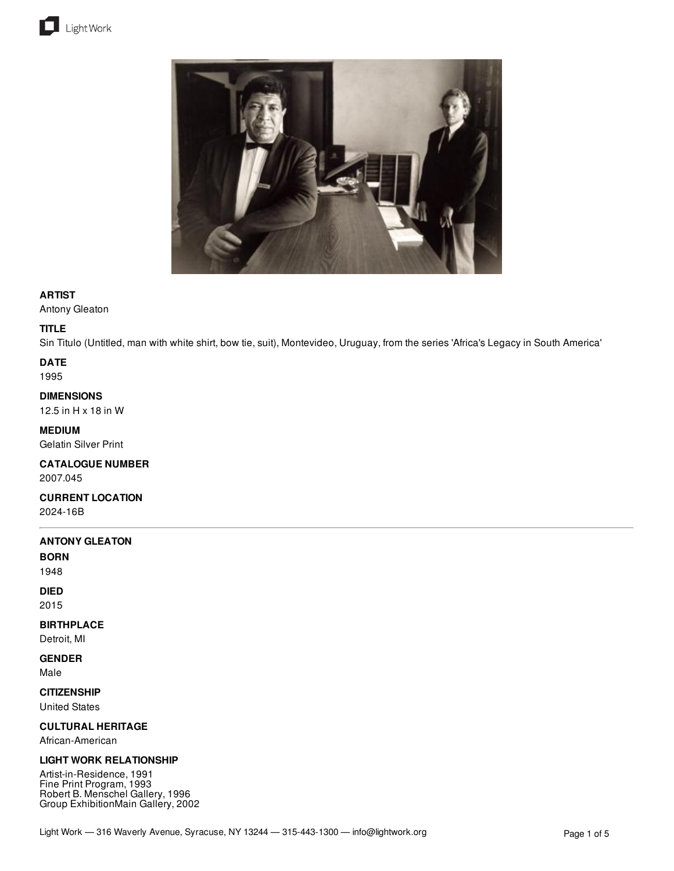



## **ARTIST**

Antony Gleaton

## **TITLE**

Sin Titulo (Untitled, man with white shirt, bow tie, suit), Montevideo, Uruguay, from the series 'Africa's Legacy in South America'

**DATE** 1995

**DIMENSIONS**

12.5 in H x 18 in W

**MEDIUM** Gelatin Silver Print

**CATALOGUE NUMBER**

2007.045

**CURRENT LOCATION** 2024-16B

# **ANTONY GLEATON**

**BORN**

1948

**DIED**

2015

# **BIRTHPLACE**

Detroit, MI

# **GENDER**

Male

**CITIZENSHIP**

United States

**CULTURAL HERITAGE**

African-American

## **LIGHT WORK RELATIONSHIP**

Artist-in-Residence, 1991 Fine Print Program, 1993 Robert B. Menschel Gallery, 1996 Group ExhibitionMain Gallery, 2002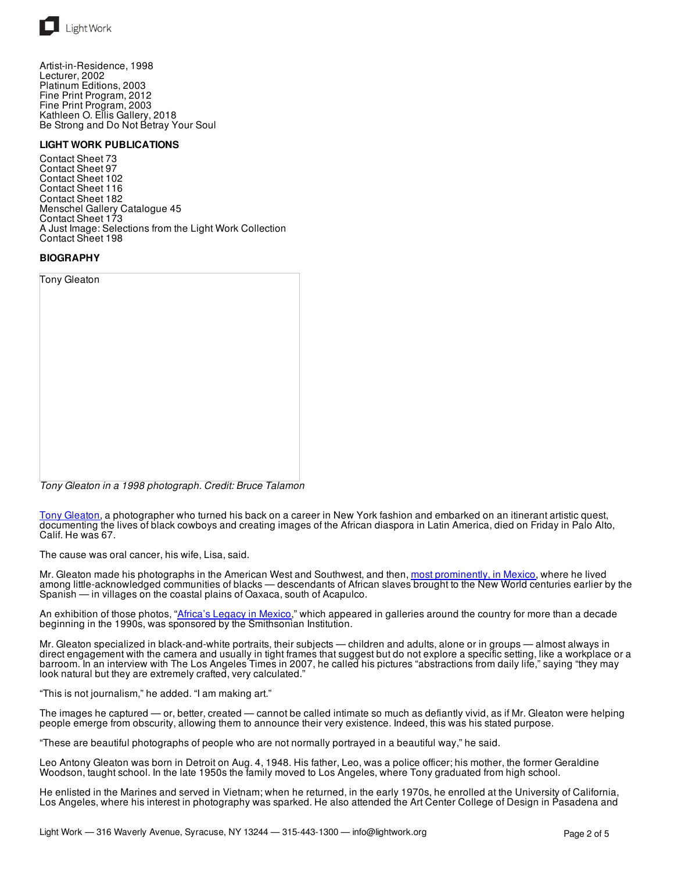

Artist-in-Residence, 1998 Lecturer, 2002 Platinum Editions, 2003 Fine Print Program, 2012 Fine Print Program, 2003 Kathleen O. Ellis Gallery, 2018 Be Strong and Do Not Betray Your Soul

### **LIGHT WORK PUBLICATIONS**

Contact Sheet 73 Contact Sheet 97 Contact Sheet 102 Contact Sheet 116 Contact Sheet 182 Menschel Gallery Catalogue 45 Contact Sheet 173 A Just Image: Selections from the Light Work Collection Contact Sheet 198

#### **BIOGRAPHY**

| <b>Tony Gleaton</b> |  |  |
|---------------------|--|--|
|                     |  |  |
|                     |  |  |
|                     |  |  |
|                     |  |  |
|                     |  |  |
|                     |  |  |
|                     |  |  |

*Tony Gleaton in a 1998 photograph. Credit: Bruce Talamon*

Tony [Gleaton,](http://www.tonygleaton.com/TonyGleaton.com/Home_page.html) a photographer who turned his back on a career in New York fashion and embarked on an itinerant artistic quest, documenting the lives of black cowboys and creating images of the African diaspora in Latin America, died on Friday in Palo Alto, Calif. He was 67.

The cause was oral cancer, his wife, Lisa, said.

Mr. Gleaton made his photographs in the American West and Southwest, and then, most [prominently,](https://www.youtube.com/watch?v=zmHT8Y8lPnM) in Mexico, where he lived among little-acknowledged communities of blacks — descendants of African slaves brought to the New World centuries earlier by the Spanish — in villages on the coastal plains of Oaxaca, south of Acapulco.

An exhibition of those photos, ["Africa's](http://www.smithsonianeducation.org/migrations/legacy/alm.html) Legacy in Mexico," which appeared in galleries around the country for more than a decade beginning in the 1990s, was sponsored by the Smithsonian Institution.

Mr. Gleaton specialized in black-and-white portraits, their subjects — children and adults, alone or in groups — almost always in direct engagement with the camera and usually in tight frames that suggest but do not explore a specific setting, like a workplace or a barroom. In an interview with The Los Angeles Times in 2007, he called his pictures "abstractions from daily life," saying "they may look natural but they are extremely crafted, very calculated."

"This is not journalism," he added. "I am making art."

The images he captured — or, better, created — cannot be called intimate so much as defiantly vivid, as if Mr. Gleaton were helping people emerge from obscurity, allowing them to announce their very existence. Indeed, this was his stated purpose.

"These are beautiful photographs of people who are not normally portrayed in a beautiful way," he said.

Leo Antony Gleaton was born in Detroit on Aug. 4, 1948. His father, Leo, was a police officer; his mother, the former Geraldine Woodson, taught school. In the late 1950s the family moved to Los Angeles, where Tony graduated from high school.

He enlisted in the Marines and served in Vietnam; when he returned, in the early 1970s, he enrolled at the University of California, Los Angeles, where his interest in photography was sparked. He also attended the Art Center College of Design in Pasadena and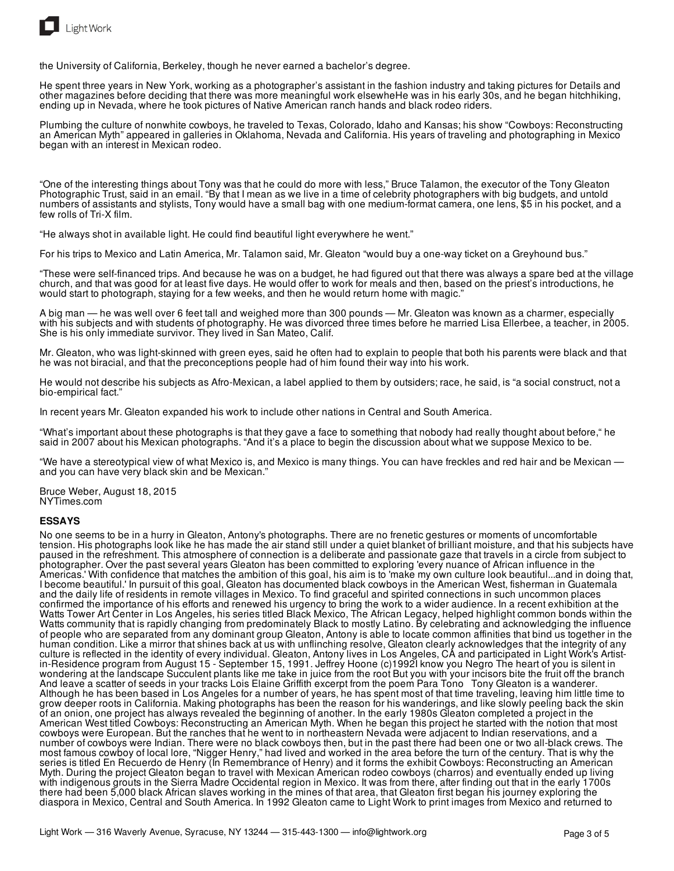

the University of California, Berkeley, though he never earned a bachelor's degree.

He spent three years in New York, working as a photographer's assistant in the fashion industry and taking pictures for Details and other magazines before deciding that there was more meaningful work elsewheHe was in his early 30s, and he began hitchhiking, ending up in Nevada, where he took pictures of Native American ranch hands and black rodeo riders.

Plumbing the culture of nonwhite cowboys, he traveled to Texas, Colorado, Idaho and Kansas; his show "Cowboys: Reconstructing an American Myth" appeared in galleries in Oklahoma, Nevada and California. His years of traveling and photographing in Mexico began with an interest in Mexican rodeo.

"One of the interesting things about Tony was that he could do more with less," Bruce Talamon, the executor of the Tony Gleaton Photographic Trust, said in an email. "By that I mean as we live in a time of celebrity photographers with big budgets, and untold numbers of assistants and stylists, Tony would have a small bag with one medium-format camera, one lens, \$5 in his pocket, and a few rolls of Tri-X film.

"He always shot in available light. He could find beautiful light everywhere he went."

For his trips to Mexico and Latin America, Mr. Talamon said, Mr. Gleaton "would buy a one-way ticket on a Greyhound bus."

"These were self-financed trips. And because he was on a budget, he had figured out that there was always a spare bed at the village church, and that was good for at least five days. He would offer to work for meals and then, based on the priest's introductions, he would start to photograph, staying for a few weeks, and then he would return home with magic."

A big man — he was well over 6 feet tall and weighed more than 300 pounds — Mr. Gleaton was known as a charmer, especially with his subjects and with students of photography. He was divorced three times before he married Lisa Ellerbee, a teacher, in 2005. She is his only immediate survivor. They lived in San Mateo, Calif.

Mr. Gleaton, who was light-skinned with green eyes, said he often had to explain to people that both his parents were black and that he was not biracial, and that the preconceptions people had of him found their way into his work.

He would not describe his subjects as Afro-Mexican, a label applied to them by outsiders; race, he said, is "a social construct, not a bio-empirical fact."

In recent years Mr. Gleaton expanded his work to include other nations in Central and South America.

"What's important about these photographs is that they gave a face to something that nobody had really thought about before," he said in 2007 about his Mexican photographs. "And it's a place to begin the discussion about what we suppose Mexico to be.

"We have a stereotypical view of what Mexico is, and Mexico is many things. You can have freckles and red hair and be Mexican and you can have very black skin and be Mexican."

Bruce Weber, August 18, 2015 NYTimes.com

#### **ESSAYS**

No one seems to be in a hurry in Gleaton, Antony's photographs. There are no frenetic gestures or moments of uncomfortable tension. His photographs look like he has made the air stand still under a quiet blanket of brilliant moisture, and that his subjects have paused in the refreshment. This atmosphere of connection is a deliberate and passionate gaze that travels in a circle from subject to photographer. Over the past several years Gleaton has been committed to exploring 'every nuance of African influence in the Americas.' With confidence that matches the ambition of this goal, his aim is to 'make my own culture look beautiful...and in doing that, I become beautiful.' In pursuit of this goal, Gleaton has documented black cowboys in the American West, fisherman in Guatemala and the daily life of residents in remote villages in Mexico. To find graceful and spirited connections in such uncommon places confirmed the importance of his efforts and renewed his urgency to bring the work to a wider audience. In a recent exhibition at the Watts Tower Art Center in Los Angeles, his series titled Black Mexico, The African Legacy, helped highlight common bonds within the Watts community that is rapidly changing from predominately Black to mostly Latino. By celebrating and acknowledging the influence of people who are separated from any dominant group Gleaton, Antony is able to locate common affinities that bind us together in the human condition. Like a mirror that shines back at us with unflinching resolve, Gleaton clearly acknowledges that the integrity of any culture is reflected in the identity of every individual. Gleaton, Antony lives in Los Angeles, CA and participated in Light Work's Artistin-Residence program from August 15 - September 15, 1991. Jeffrey Hoone (c)1992I know you Negro The heart of you is silent in wondering at the landscape Succulent plants like me take in juice from the root But you with your incisors bite the fruit off the branch And leave a scatter of seeds in your tracks Lois Elaine Griffith excerpt from the poem Para Tono Tony Gleaton is a wanderer. Although he has been based in Los Angeles for a number of years, he has spent most of that time traveling, leaving him little time to grow deeper roots in California. Making photographs has been the reason for his wanderings, and like slowly peeling back the skin of an onion, one project has always revealed the beginning of another. In the early 1980s Gleaton completed a project in the American West titled Cowboys: Reconstructing an American Myth. When he began this project he started with the notion that most cowboys were European. But the ranches that he went to in northeastern Nevada were adjacent to Indian reservations, and a number of cowboys were Indian. There were no black cowboys then, but in the past there had been one or two all-black crews. The most famous cowboy of local lore, "Nigger Henry," had lived and worked in the area before the turn of the century. That is why the series is titled En Recuerdo de Henry (In Remembrance of Henry) and it forms the exhibit Cowboys: Reconstructing an American Myth. During the project Gleaton began to travel with Mexican American rodeo cowboys (charros) and eventually ended up living with indigenous grouts in the Sierra Madre Occidental region in Mexico. It was from there, after finding out that in the early 1700s there had been 5,000 black African slaves working in the mines of that area, that Gleaton first began his journey exploring the diaspora in Mexico, Central and South America. In 1992 Gleaton came to Light Work to print images from Mexico and returned to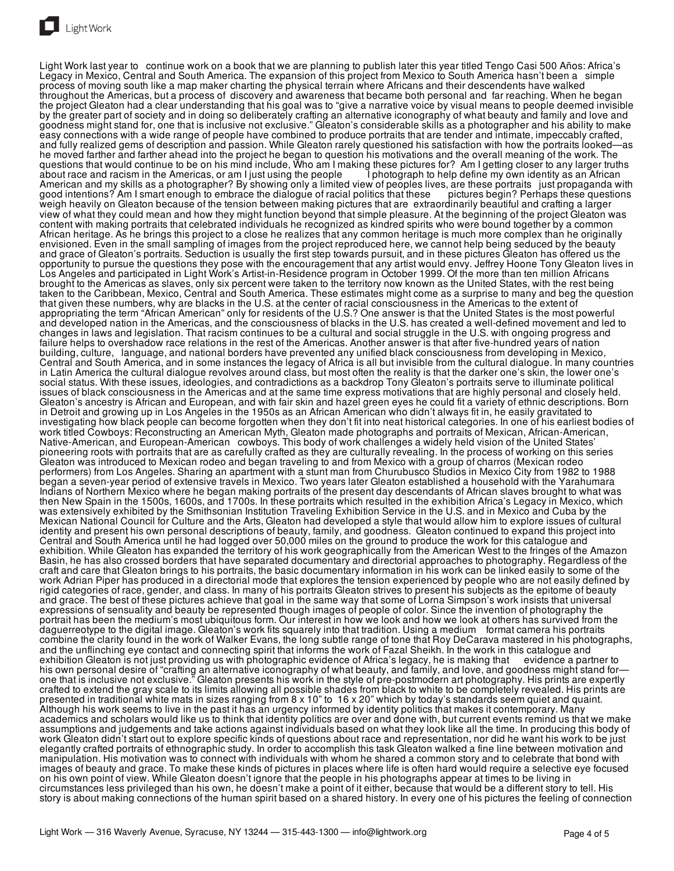

Light Work

Light Work last year to continue work on a book that we are planning to publish later this year titled Tengo Casi 500 Años: Africa's Legacy in Mexico, Central and South America. The expansion of this project from Mexico to South America hasn't been a simple process of moving south like a map maker charting the physical terrain where Africans and their descendents have walked throughout the Americas, but a process of discovery and awareness that became both personal and far reaching. When he began the project Gleaton had a clear understanding that his goal was to "give a narrative voice by visual means to people deemed invisible by the greater part of society and in doing so deliberately crafting an alternative iconography of what beauty and family and love and goodness might stand for, one that is inclusive not exclusive." Gleaton's considerable skills as a photographer and his ability to make easy connections with a wide range of people have combined to produce portraits that are tender and intimate, impeccably crafted, and fully realized gems of description and passion. While Gleaton rarely questioned his satisfaction with how the portraits looked—as he moved farther and farther ahead into the project he began to question his motivations and the overall meaning of the work. The questions that would continue to be on his mind include, Who am I making these pictures for? Am I getting closer to any larger truths about race and racism in the Americas, or am I just using the people Iphotograph to help about race and racism in the Americas, or am I just using the people American and my skills as a photographer? By showing only a limited view of peoples lives, are these portraits just propaganda with good intentions? Am I smart enough to embrace the dialogue of racial politics that these pictures begin? Perhaps these questions weigh heavily on Gleaton because of the tension between making pictures that are extraordinarily beautiful and crafting a larger view of what they could mean and how they might function beyond that simple pleasure. At the beginning of the project Gleaton was content with making portraits that celebrated individuals he recognized as kindred spirits who were bound together by a common African heritage. As he brings this project to a close he realizes that any common heritage is much more complex than he originally envisioned. Even in the small sampling of images from the project reproduced here, we cannot help being seduced by the beauty and grace of Gleaton's portraits. Seduction is usually the first step towards pursuit, and in these pictures Gleaton has offered us the opportunity to pursue the questions they pose with the encouragement that any artist would envy. Jeffrey Hoone Tony Gleaton lives in Los Angeles and participated in Light Work's Artist-in-Residence program in October 1999. Of the more than ten million Africans brought to the Americas as slaves, only six percent were taken to the territory now known as the United States, with the rest being taken to the Caribbean, Mexico, Central and South America. These estimates might come as a surprise to many and beg the question that given these numbers, why are blacks in the U.S. at the center of racial consciousness in the Americas to the extent of appropriating the term "African American" only for residents of the U.S.? One answer is that the United States is the most powerful and developed nation in the Americas, and the consciousness of blacks in the U.S. has created a well-defined movement and led to changes in laws and legislation. That racism continues to be a cultural and social struggle in the U.S. with ongoing progress and failure helps to overshadow race relations in the rest of the Americas. Another answer is that after five-hundred years of nation building, culture, language, and national borders have prevented any unified black consciousness from developing in Mexico, Central and South America, and in some instances the legacy of Africa is all but invisible from the cultural dialogue. In many countries in Latin America the cultural dialogue revolves around class, but most often the reality is that the darker one's skin, the lower one's social status. With these issues, ideologies, and contradictions as a backdrop Tony Gleaton's portraits serve to illuminate political issues of black consciousness in the Americas and at the same time express motivations that are highly personal and closely held. Gleaton's ancestry is African and European, and with fair skin and hazel green eyes he could fit a variety of ethnic descriptions. Born in Detroit and growing up in Los Angeles in the 1950s as an African American who didn't always fit in, he easily gravitated to investigating how black people can become forgotten when they don't fit into neat historical categories. In one of his earliest bodies of work titled Cowboys: Reconstructing an American Myth, Gleaton made photographs and portraits of Mexican, African-American, Native-American, and European-American cowboys. This body of work challenges a widely held vision of the United States' pioneering roots with portraits that are as carefully crafted as they are culturally revealing. In the process of working on this series Gleaton was introduced to Mexican rodeo and began traveling to and from Mexico with a group of charros (Mexican rodeo performers) from Los Angeles. Sharing an apartment with a stunt man from Churubusco Studios in Mexico City from 1982 to 1988 began a seven-year period of extensive travels in Mexico. Two years later Gleaton established a household with the Yarahumara Indians of Northern Mexico where he began making portraits of the present day descendants of African slaves brought to what was then New Spain in the 1500s, 1600s, and 1700s. In these portraits which resulted in the exhibition Africa's Legacy in Mexico, which was extensively exhibited by the Smithsonian Institution Traveling Exhibition Service in the U.S. and in Mexico and Cuba by the Mexican National Council for Culture and the Arts, Gleaton had developed a style that would allow him to explore issues of cultural identity and present his own personal descriptions of beauty, family, and goodness. Gleaton continued to expand this project into Central and South America until he had logged over 50,000 miles on the ground to produce the work for this catalogue and exhibition. While Gleaton has expanded the territory of his work geographically from the American West to the fringes of the Amazon Basin, he has also crossed borders that have separated documentary and directorial approaches to photography. Regardless of the craft and care that Gleaton brings to his portraits, the basic documentary information in his work can be linked easily to some of the work Adrian Piper has produced in a directorial mode that explores the tension experienced by people who are not easily defined by rigid categories of race, gender, and class. In many of his portraits Gleaton strives to present his subjects as the epitome of beauty and grace. The best of these pictures achieve that goal in the same way that some of Lorna Simpson's work insists that universal expressions of sensuality and beauty be represented though images of people of color. Since the invention of photography the portrait has been the medium's most ubiquitous form. Our interest in how we look and how we look at others has survived from the daguerreotype to the digital image. Gleaton's work fits squarely into that tradition. Using a medium format camera his portraits combine the clarity found in the work of Walker Evans, the long subtle range of tone that Roy DeCarava mastered in his photographs, and the unflinching eye contact and connecting spirit that informs the work of Fazal Sheikh. In the work in this catalogue and exhibition Gleaton is not just providing us with photographic evidence of Africa's legacy, he is making that evidence a partner to his own personal desire of "crafting an alternative iconography of what beauty, and family, and love, and goodness might stand for one that is inclusive not exclusive." Gleaton presents his work in the style of pre-postmodern art photography. His prints are expertly crafted to extend the gray scale to its limits allowing all possible shades from black to white to be completely revealed. His prints are presented in traditional white mats in sizes ranging from 8 x 10" to 16 x 20" which by today's standards seem quiet and quaint. Although his work seems to live in the past it has an urgency informed by identity politics that makes it contemporary. Many academics and scholars would like us to think that identity politics are over and done with, but current events remind us that we make assumptions and judgements and take actions against individuals based on what they look like all the time. In producing this body of work Gleaton didn't start out to explore specific kinds of questions about race and representation, nor did he want his work to be just elegantly crafted portraits of ethnographic study. In order to accomplish this task Gleaton walked a fine line between motivation and manipulation. His motivation was to connect with individuals with whom he shared a common story and to celebrate that bond with images of beauty and grace. To make these kinds of pictures in places where life is often hard would require a selective eye focused on his own point of view. While Gleaton doesn't ignore that the people in his photographs appear at times to be living in circumstances less privileged than his own, he doesn't make a point of it either, because that would be a different story to tell. His story is about making connections of the human spirit based on a shared history. In every one of his pictures the feeling of connection